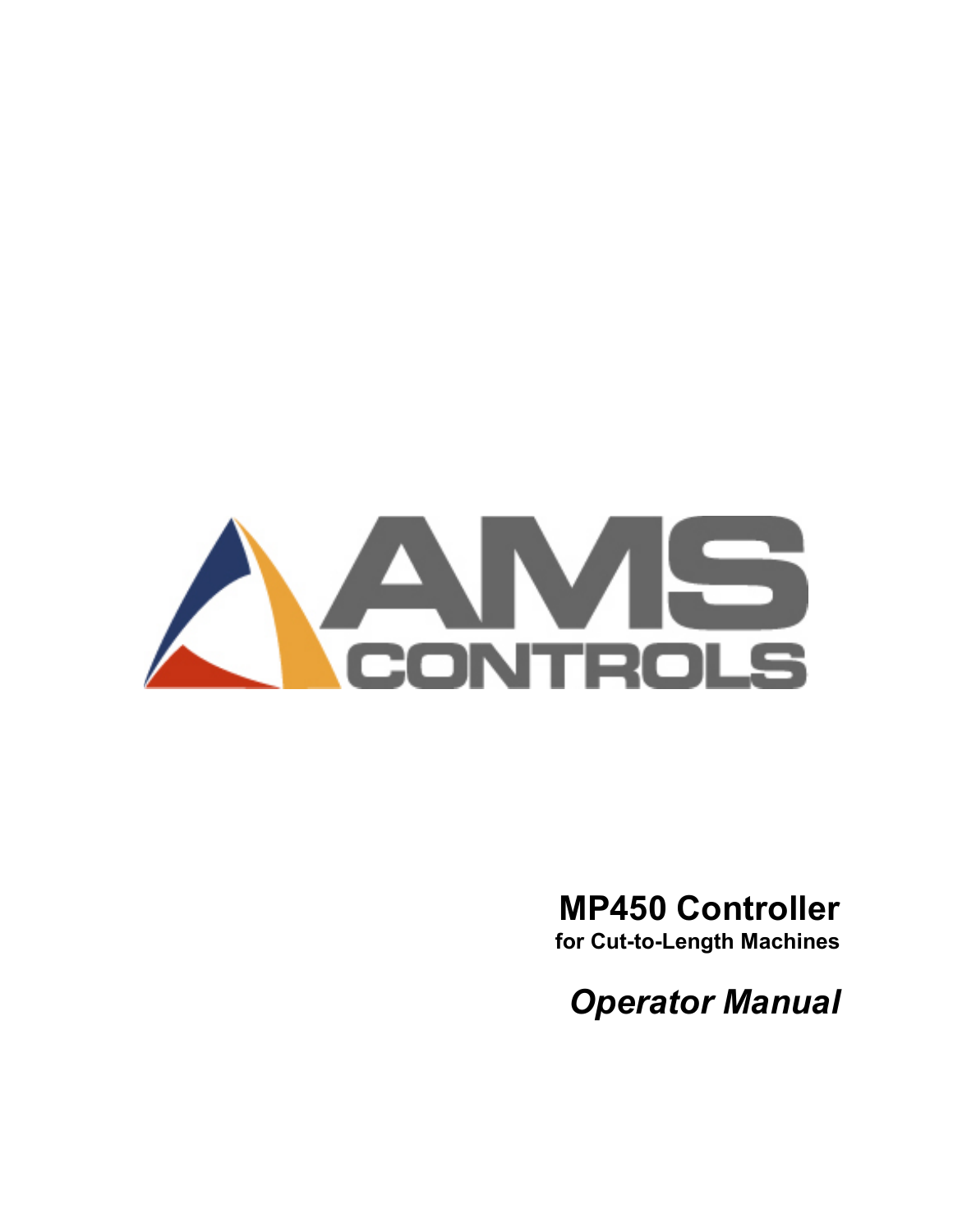

# MP450 Controller

for Cut-to-Length Machines

Operator Manual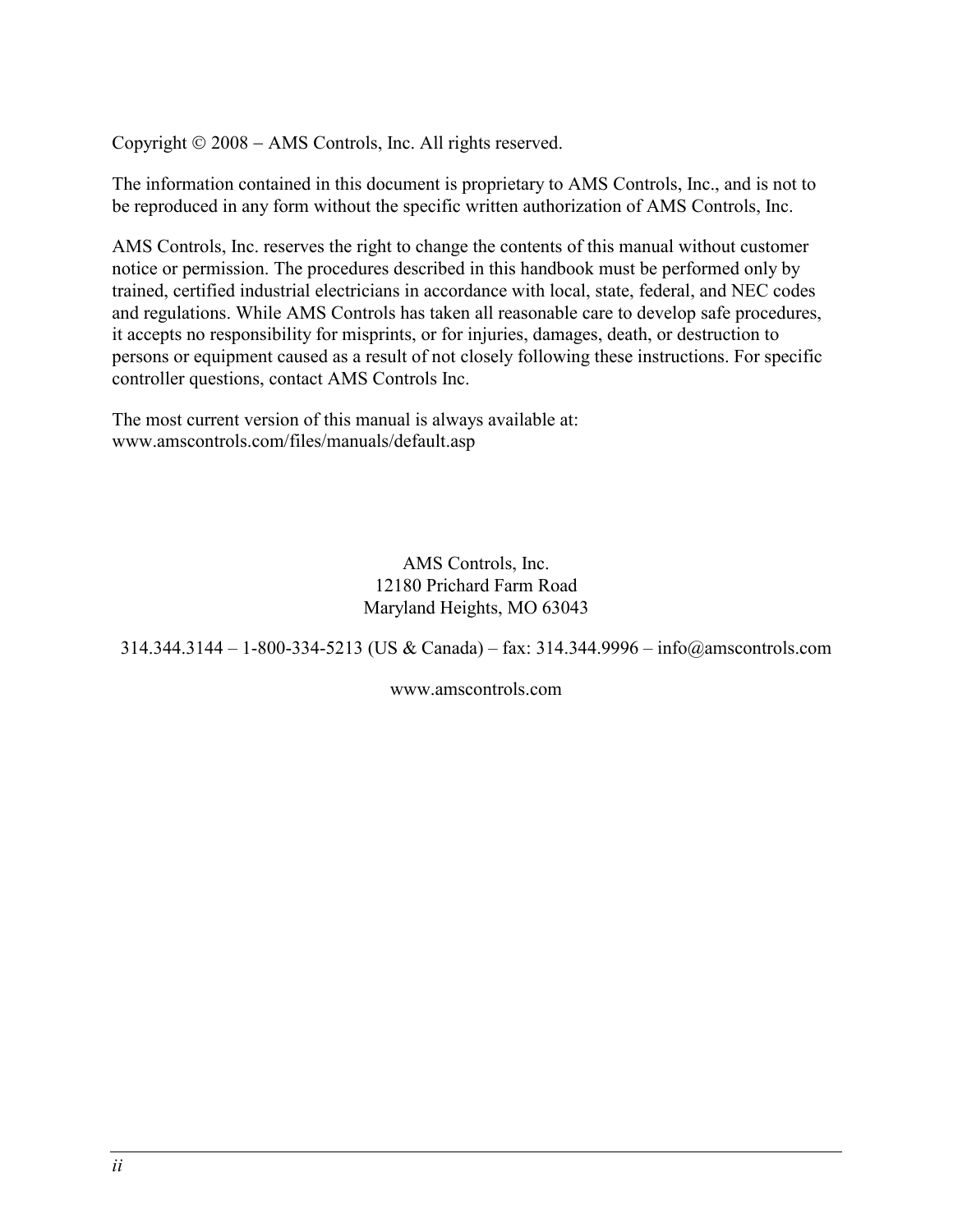Copyright © 2008 – AMS Controls, Inc. All rights reserved.

The information contained in this document is proprietary to AMS Controls, Inc., and is not to be reproduced in any form without the specific written authorization of AMS Controls, Inc.

AMS Controls, Inc. reserves the right to change the contents of this manual without customer notice or permission. The procedures described in this handbook must be performed only by trained, certified industrial electricians in accordance with local, state, federal, and NEC codes and regulations. While AMS Controls has taken all reasonable care to develop safe procedures, it accepts no responsibility for misprints, or for injuries, damages, death, or destruction to persons or equipment caused as a result of not closely following these instructions. For specific controller questions, contact AMS Controls Inc.

The most current version of this manual is always available at: www.amscontrols.com/files/manuals/default.asp

> AMS Controls, Inc. 12180 Prichard Farm Road Maryland Heights, MO 63043

314.344.3144 – 1-800-334-5213 (US & Canada) – fax: 314.344.9996 – info@amscontrols.com

www.amscontrols.com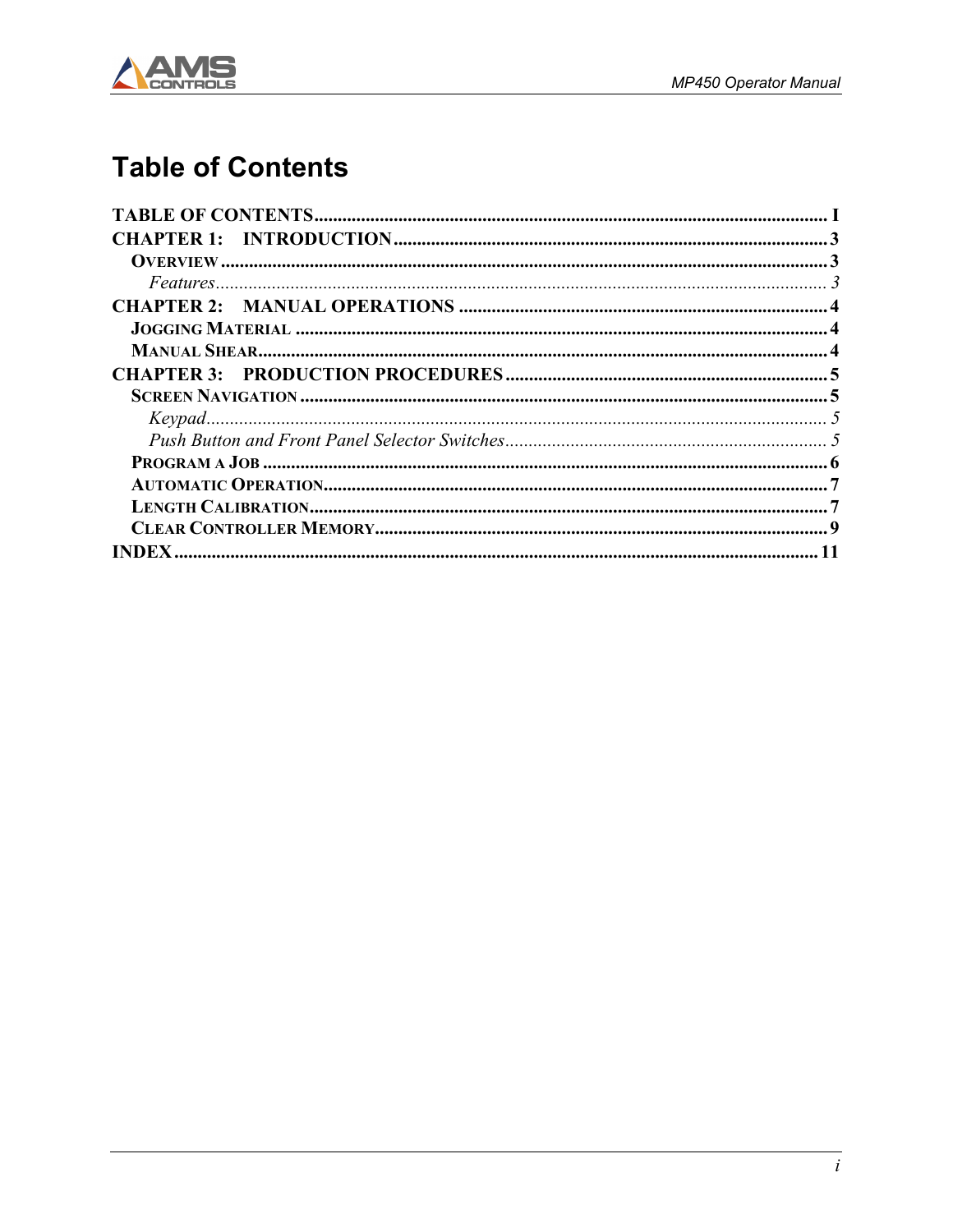

### **Table of Contents**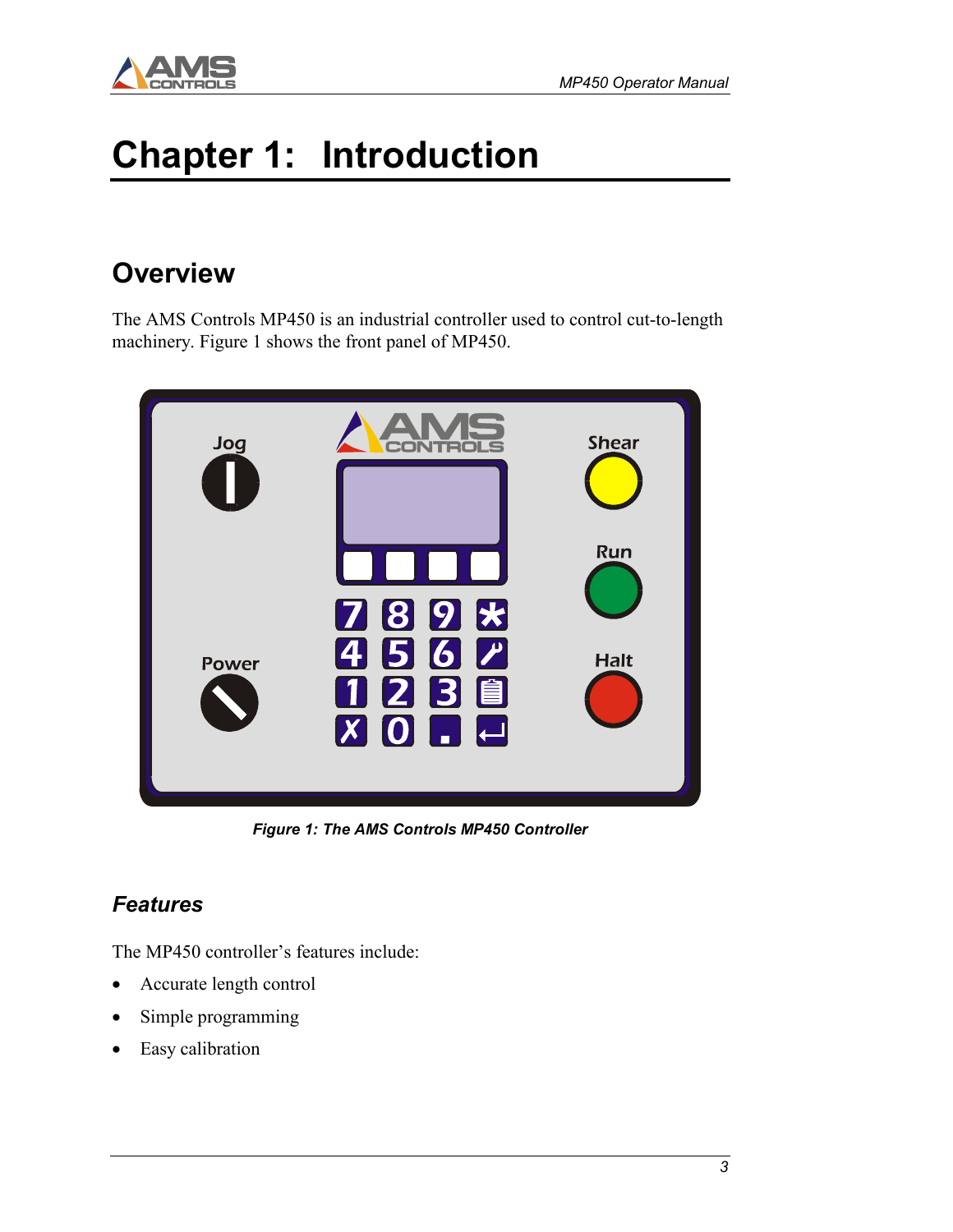

# Chapter 1: Introduction

### **Overview**

The AMS Controls MP450 is an industrial controller used to control cut-to-length machinery. Figure 1 shows the front panel of MP450.



Figure 1: The AMS Controls MP450 Controller

#### Features

The MP450 controller's features include:

- Accurate length control
- Simple programming
- Easy calibration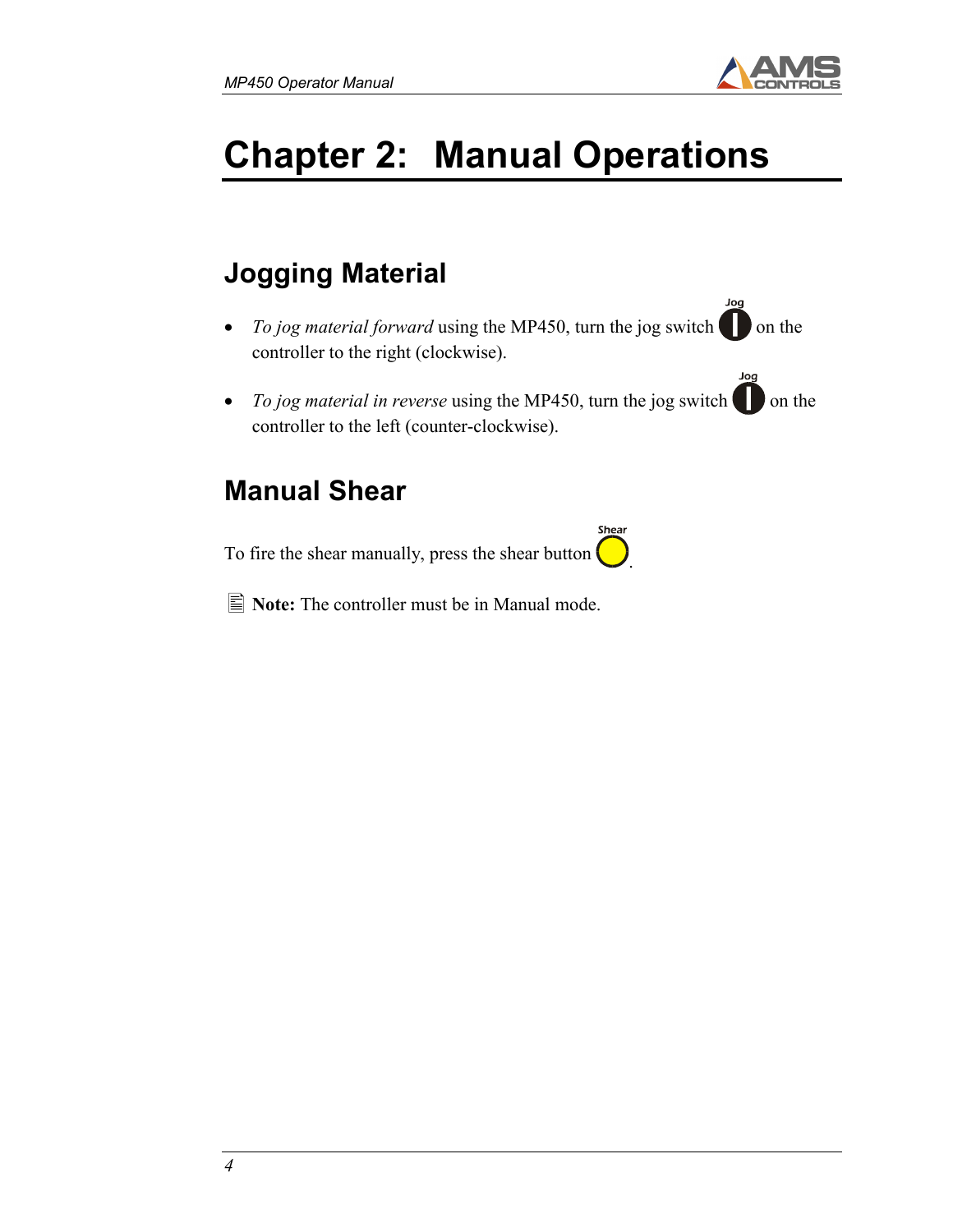

Joa

Jog

# Chapter 2: Manual Operations

## Jogging Material

- To jog material forward using the MP450, turn the jog switch  $\Box$  on the controller to the right (clockwise).
- To jog material in reverse using the MP450, turn the jog switch  $\Box$  on the controller to the left (counter-clockwise).

.

Shear

### Manual Shear

To fire the shear manually, press the shear button

 $\blacksquare$  Note: The controller must be in Manual mode.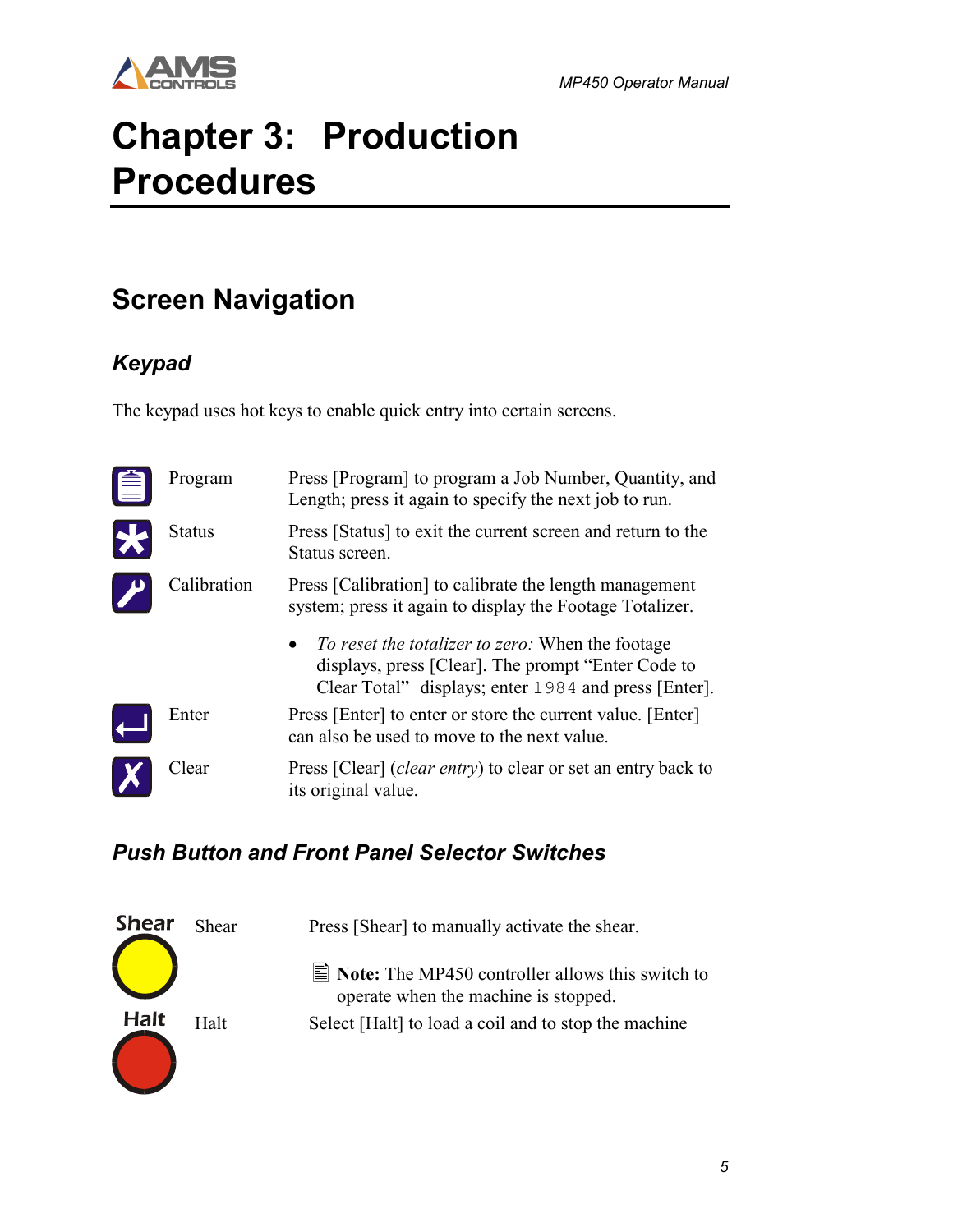

# Chapter 3: Production **Procedures**

### Screen Navigation

#### Keypad

The keypad uses hot keys to enable quick entry into certain screens.

| Program       | Press [Program] to program a Job Number, Quantity, and<br>Length; press it again to specify the next job to run.                                                                                                                                                                            |
|---------------|---------------------------------------------------------------------------------------------------------------------------------------------------------------------------------------------------------------------------------------------------------------------------------------------|
| <b>Status</b> | Press [Status] to exit the current screen and return to the<br>Status screen.                                                                                                                                                                                                               |
| Calibration   | Press [Calibration] to calibrate the length management<br>system; press it again to display the Footage Totalizer.<br><i>To reset the totalizer to zero:</i> When the footage<br>displays, press [Clear]. The prompt "Enter Code to<br>Clear Total" displays; enter 1984 and press [Enter]. |
| Enter         | Press [Enter] to enter or store the current value. [Enter]<br>can also be used to move to the next value.                                                                                                                                                                                   |
| Clear         | Press [Clear] ( <i>clear entry</i> ) to clear or set an entry back to<br>its original value.                                                                                                                                                                                                |

#### Push Button and Front Panel Selector Switches

| <b>Shear</b> | Shear | Press [Shear] to manually activate the shear.                                                            |
|--------------|-------|----------------------------------------------------------------------------------------------------------|
|              |       | $\equiv$ <b>Note:</b> The MP450 controller allows this switch to<br>operate when the machine is stopped. |
| <b>Halt</b>  | Halt  | Select [Halt] to load a coil and to stop the machine                                                     |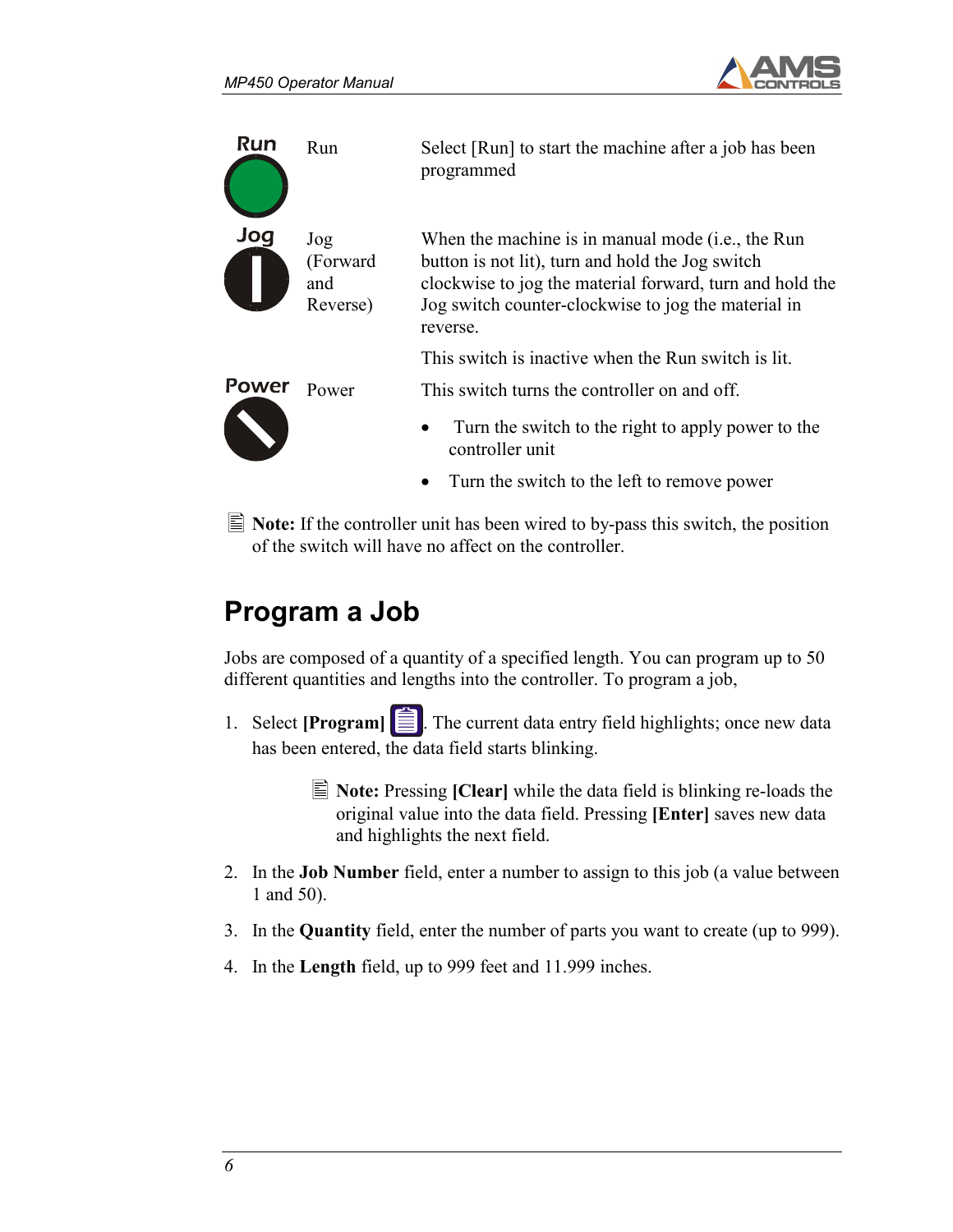



 $\equiv$  Note: If the controller unit has been wired to by-pass this switch, the position of the switch will have no affect on the controller.

## Program a Job

Jobs are composed of a quantity of a specified length. You can program up to 50 different quantities and lengths into the controller. To program a job,

- 1. Select [**Program**]  $\equiv$  The current data entry field highlights; once new data has been entered, the data field starts blinking.
	- $\equiv$  Note: Pressing [Clear] while the data field is blinking re-loads the original value into the data field. Pressing [Enter] saves new data and highlights the next field.
- 2. In the Job Number field, enter a number to assign to this job (a value between 1 and 50).
- 3. In the Quantity field, enter the number of parts you want to create (up to 999).
- 4. In the Length field, up to 999 feet and 11.999 inches.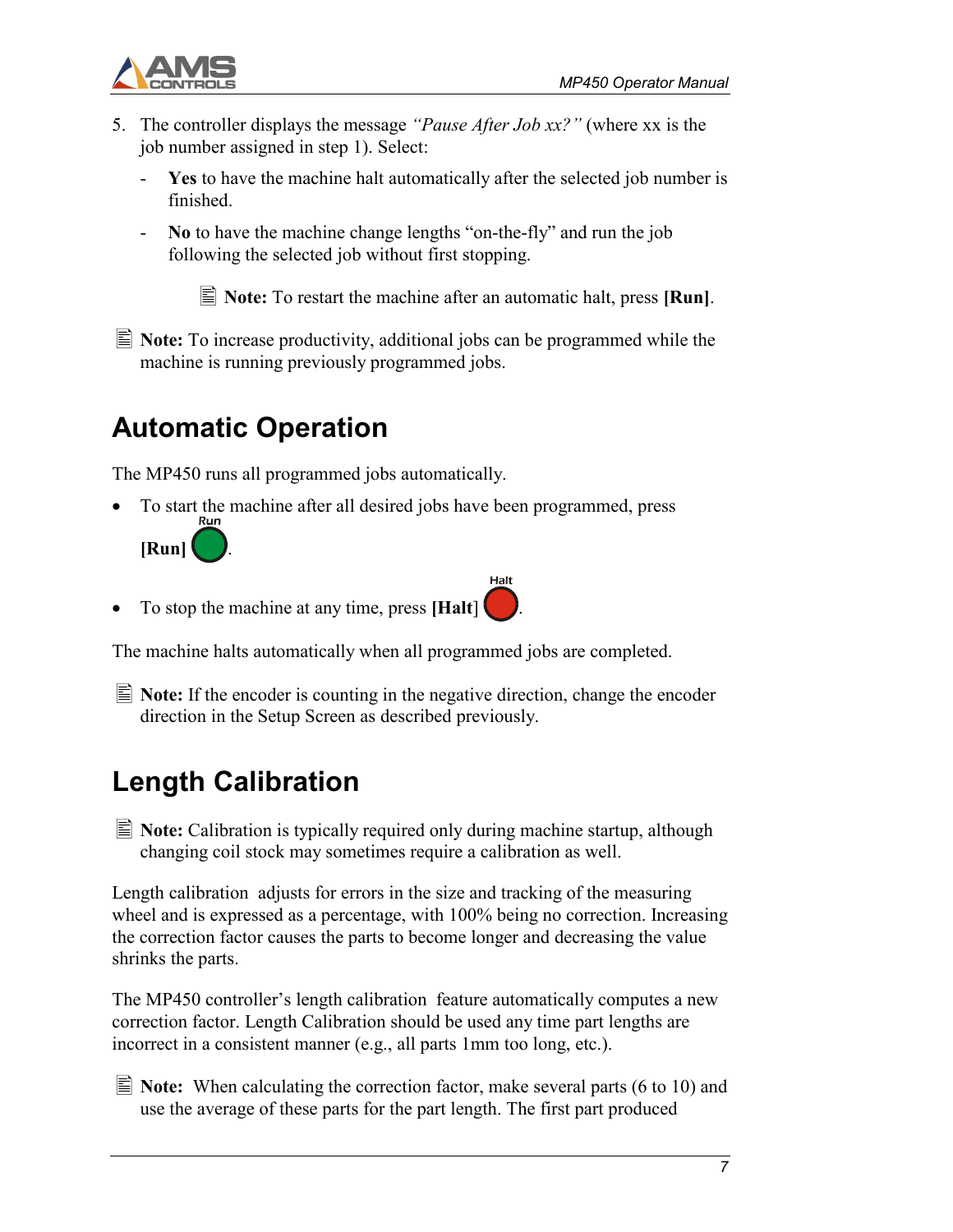

- 5. The controller displays the message "Pause After Job xx?" (where xx is the job number assigned in step 1). Select:
	- Yes to have the machine halt automatically after the selected job number is finished.
	- No to have the machine change lengths "on-the-fly" and run the job following the selected job without first stopping.

 $\vert \equiv$  **Note:** To restart the machine after an automatic halt, press [**Run**].

Halt

 $\equiv$  **Note:** To increase productivity, additional jobs can be programmed while the machine is running previously programmed jobs.

## Automatic Operation

The MP450 runs all programmed jobs automatically.

• To start the machine after all desired jobs have been programmed, press



To stop the machine at any time, press [Halt]  $\vert$ 

The machine halts automatically when all programmed jobs are completed.

 $\equiv$  Note: If the encoder is counting in the negative direction, change the encoder direction in the Setup Screen as described previously.

## Length Calibration

 $\equiv$  **Note:** Calibration is typically required only during machine startup, although changing coil stock may sometimes require a calibration as well.

Length calibration adjusts for errors in the size and tracking of the measuring wheel and is expressed as a percentage, with 100% being no correction. Increasing the correction factor causes the parts to become longer and decreasing the value shrinks the parts.

The MP450 controller's length calibration feature automatically computes a new correction factor. Length Calibration should be used any time part lengths are incorrect in a consistent manner (e.g., all parts 1mm too long, etc.).

 $\equiv$  Note: When calculating the correction factor, make several parts (6 to 10) and use the average of these parts for the part length. The first part produced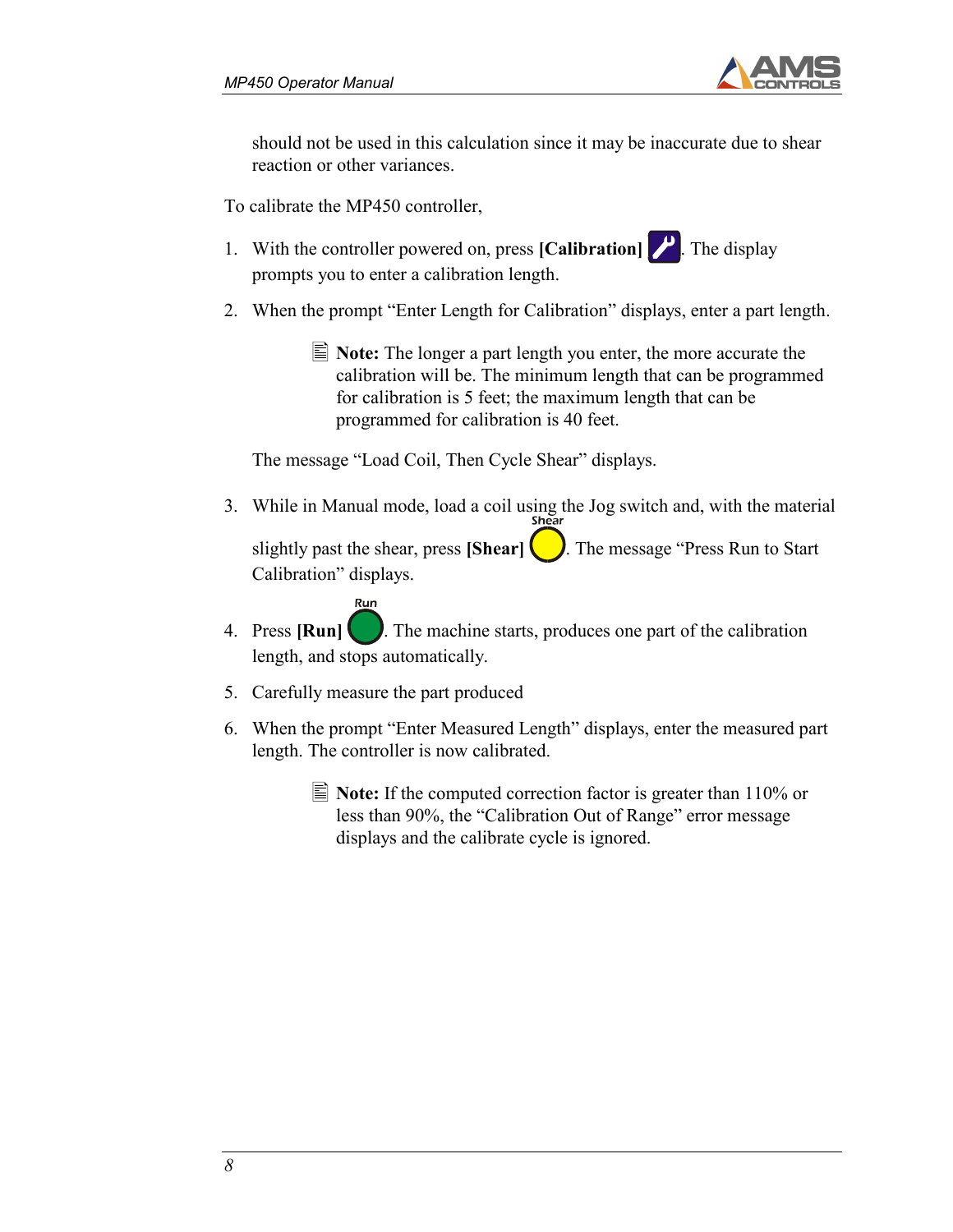

should not be used in this calculation since it may be inaccurate due to shear reaction or other variances.

To calibrate the MP450 controller,

- 1. With the controller powered on, press  $\text{[Calibration]}$ . The display prompts you to enter a calibration length.
- 2. When the prompt "Enter Length for Calibration" displays, enter a part length.
	- $\vert \equiv$  **Note:** The longer a part length you enter, the more accurate the calibration will be. The minimum length that can be programmed for calibration is 5 feet; the maximum length that can be programmed for calibration is 40 feet.

The message "Load Coil, Then Cycle Shear" displays.

- 3. While in Manual mode, load a coil using the Jog switch and, with the material slightly past the shear, press [Shear]  $\Box$ . The message "Press Run to Start" Calibration" displays.
- 4. Press  $\text{Run}$  . The machine starts, produces one part of the calibration length, and stops automatically.
- 5. Carefully measure the part produced

Run

- 6. When the prompt "Enter Measured Length" displays, enter the measured part length. The controller is now calibrated.
	- $\equiv$  Note: If the computed correction factor is greater than 110% or less than 90%, the "Calibration Out of Range" error message displays and the calibrate cycle is ignored.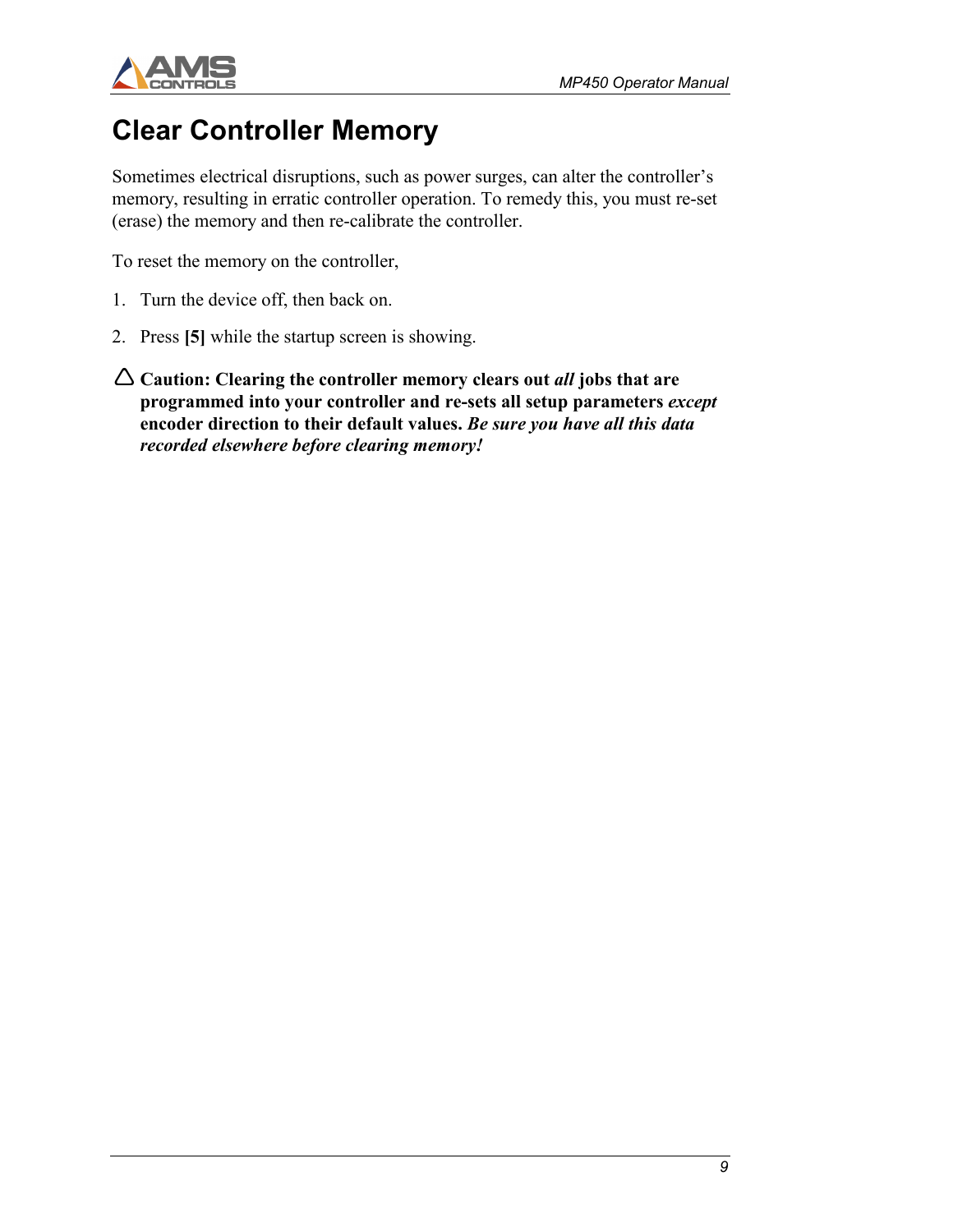

### Clear Controller Memory

Sometimes electrical disruptions, such as power surges, can alter the controller's memory, resulting in erratic controller operation. To remedy this, you must re-set (erase) the memory and then re-calibrate the controller.

To reset the memory on the controller,

- 1. Turn the device off, then back on.
- 2. Press [5] while the startup screen is showing.
- $\Delta$  Caution: Clearing the controller memory clears out all jobs that are programmed into your controller and re-sets all setup parameters except encoder direction to their default values. Be sure you have all this data recorded elsewhere before clearing memory!